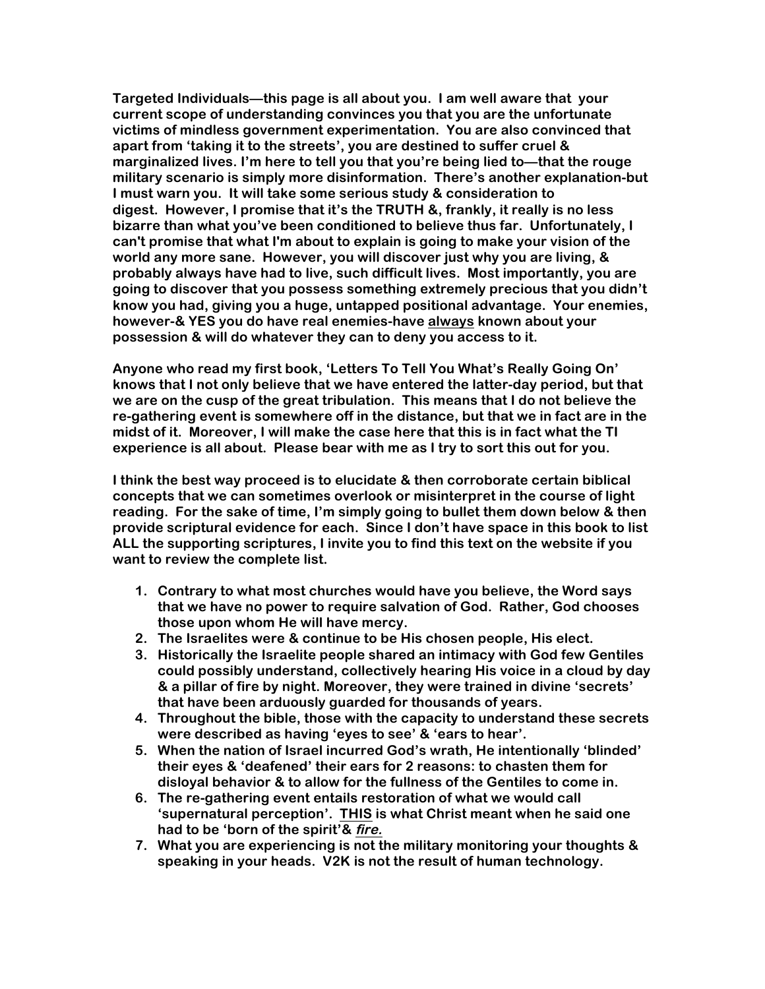**Targeted Individuals—this page is all about you. I am well aware that your current scope of understanding convinces you that you are the unfortunate victims of mindless government experimentation. You are also convinced that apart from 'taking it to the streets', you are destined to suffer cruel & marginalized lives. I'm here to tell you that you're being lied to—that the rouge military scenario is simply more disinformation. There's another explanation-but I must warn you. It will take some serious study & consideration to digest. However, I promise that it's the TRUTH &, frankly, it really is no less bizarre than what you've been conditioned to believe thus far. Unfortunately, I can't promise that what I'm about to explain is going to make your vision of the world any more sane. However, you will discover just why you are living, & probably always have had to live, such difficult lives. Most importantly, you are going to discover that you possess something extremely precious that you didn't know you had, giving you a huge, untapped positional advantage. Your enemies, however-& YES you do have real enemies-have always known about your possession & will do whatever they can to deny you access to it.**

**Anyone who read my first book, 'Letters To Tell You What's Really Going On' knows that I not only believe that we have entered the latter-day period, but that we are on the cusp of the great tribulation. This means that I do not believe the re-gathering event is somewhere off in the distance, but that we in fact are in the midst of it. Moreover, I will make the case here that this is in fact what the TI experience is all about. Please bear with me as I try to sort this out for you.**

**I think the best way proceed is to elucidate & then corroborate certain biblical concepts that we can sometimes overlook or misinterpret in the course of light reading. For the sake of time, I'm simply going to bullet them down below & then provide scriptural evidence for each. Since I don't have space in this book to list ALL the supporting scriptures, I invite you to find this text on the website if you want to review the complete list.**

- **1. Contrary to what most churches would have you believe, the Word says that we have no power to require salvation of God. Rather, God chooses those upon whom He will have mercy.**
- **2. The Israelites were & continue to be His chosen people, His elect.**
- **3. Historically the Israelite people shared an intimacy with God few Gentiles could possibly understand, collectively hearing His voice in a cloud by day & a pillar of fire by night. Moreover, they were trained in divine 'secrets' that have been arduously guarded for thousands of years.**
- **4. Throughout the bible, those with the capacity to understand these secrets were described as having 'eyes to see' & 'ears to hear'.**
- **5. When the nation of Israel incurred God's wrath, He intentionally 'blinded' their eyes & 'deafened' their ears for 2 reasons: to chasten them for disloyal behavior & to allow for the fullness of the Gentiles to come in.**
- **6. The re-gathering event entails restoration of what we would call 'supernatural perception'. THIS is what Christ meant when he said one had to be 'born of the spirit'& fire.**
- **7. What you are experiencing is not the military monitoring your thoughts & speaking in your heads. V2K is not the result of human technology.**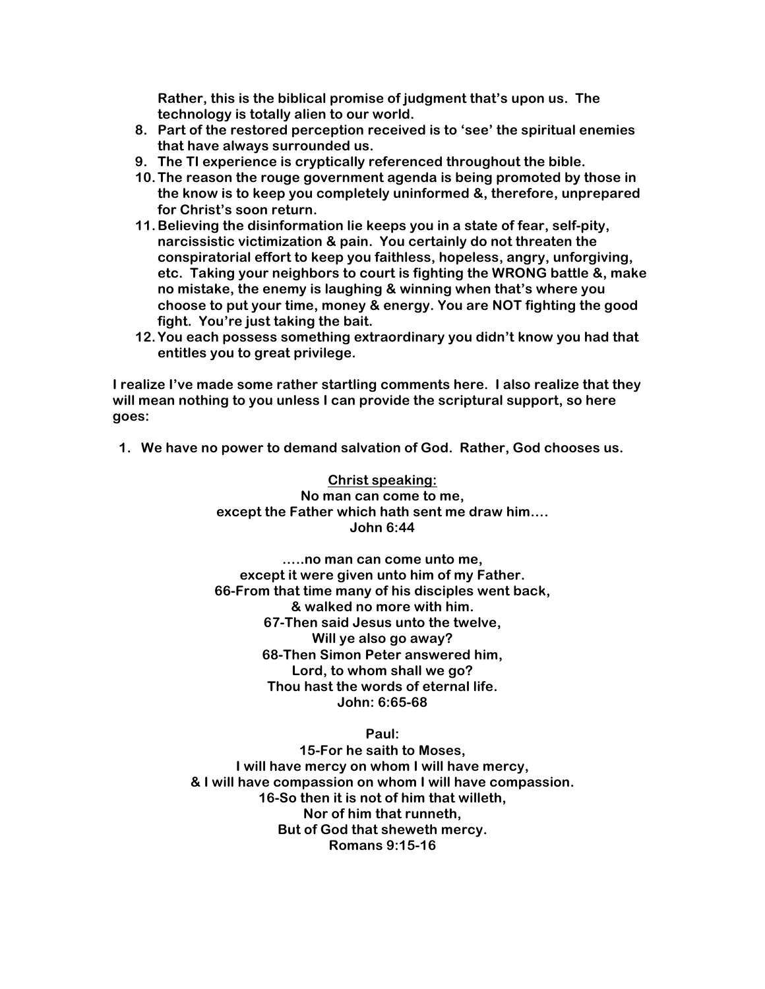**Rather, this is the biblical promise of judgment that's upon us. The technology is totally alien to our world.** 

- **8. Part of the restored perception received is to 'see' the spiritual enemies that have always surrounded us.**
- **9. The TI experience is cryptically referenced throughout the bible.**
- **10.The reason the rouge government agenda is being promoted by those in the know is to keep you completely uninformed &, therefore, unprepared for Christ's soon return.**
- **11.Believing the disinformation lie keeps you in a state of fear, self-pity, narcissistic victimization & pain. You certainly do not threaten the conspiratorial effort to keep you faithless, hopeless, angry, unforgiving, etc. Taking your neighbors to court is fighting the WRONG battle &, make no mistake, the enemy is laughing & winning when that's where you choose to put your time, money & energy. You are NOT fighting the good fight. You're just taking the bait.**
- **12.You each possess something extraordinary you didn't know you had that entitles you to great privilege.**

**I realize I've made some rather startling comments here. I also realize that they will mean nothing to you unless I can provide the scriptural support, so here goes:**

**1. We have no power to demand salvation of God. Rather, God chooses us.**

**Christ speaking: No man can come to me, except the Father which hath sent me draw him…. John 6:44**

**…..no man can come unto me, except it were given unto him of my Father. 66-From that time many of his disciples went back, & walked no more with him. 67-Then said Jesus unto the twelve, Will ye also go away? 68-Then Simon Peter answered him, Lord, to whom shall we go? Thou hast the words of eternal life. John: 6:65-68**

**Paul:**

**15-For he saith to Moses, I will have mercy on whom I will have mercy, & I will have compassion on whom I will have compassion. 16-So then it is not of him that willeth, Nor of him that runneth, But of God that sheweth mercy. Romans 9:15-16**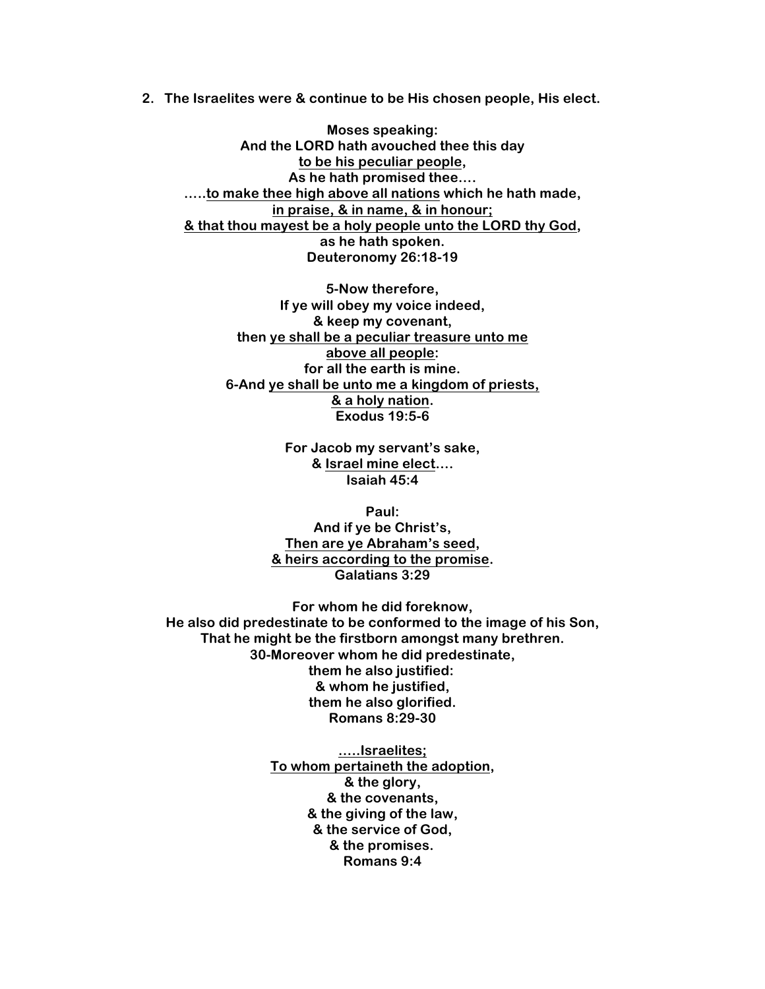**2. The Israelites were & continue to be His chosen people, His elect.**

**Moses speaking: And the LORD hath avouched thee this day to be his peculiar people, As he hath promised thee…. …..to make thee high above all nations which he hath made, in praise, & in name, & in honour; & that thou mayest be a holy people unto the LORD thy God, as he hath spoken. Deuteronomy 26:18-19**

**5-Now therefore, If ye will obey my voice indeed, & keep my covenant, then ye shall be a peculiar treasure unto me above all people: for all the earth is mine. 6-And ye shall be unto me a kingdom of priests, & a holy nation. Exodus 19:5-6**

> **For Jacob my servant's sake, & Israel mine elect…. Isaiah 45:4**

**Paul: And if ye be Christ's, Then are ye Abraham's seed, & heirs according to the promise. Galatians 3:29**

**For whom he did foreknow, He also did predestinate to be conformed to the image of his Son, That he might be the firstborn amongst many brethren. 30-Moreover whom he did predestinate, them he also justified: & whom he justified, them he also glorified. Romans 8:29-30**

> **…..Israelites; To whom pertaineth the adoption, & the glory, & the covenants, & the giving of the law, & the service of God, & the promises. Romans 9:4**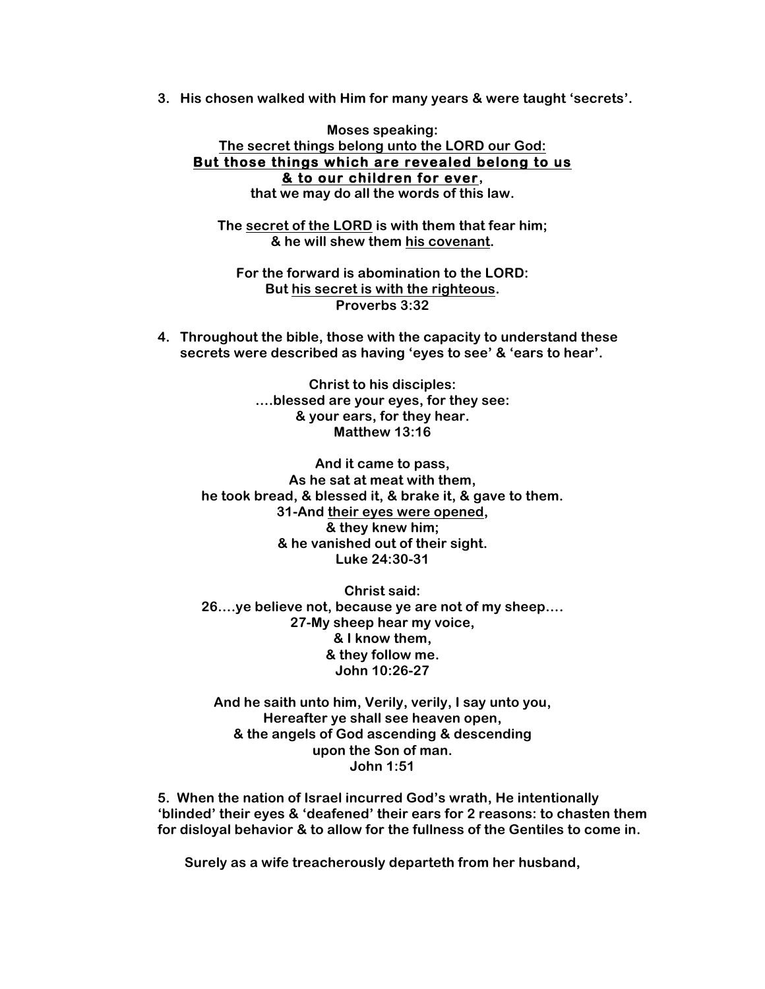**3. His chosen walked with Him for many years & were taught 'secrets'.**

**Moses speaking: The secret things belong unto the LORD our God: But those things which are revealed belong to us & to our children for ever,**

**that we may do all the words of this law.**

**The secret of the LORD is with them that fear him; & he will shew them his covenant.**

**For the forward is abomination to the LORD: But his secret is with the righteous. Proverbs 3:32**

**4. Throughout the bible, those with the capacity to understand these secrets were described as having 'eyes to see' & 'ears to hear'.**

> **Christ to his disciples: ….blessed are your eyes, for they see: & your ears, for they hear. Matthew 13:16**

**And it came to pass, As he sat at meat with them, he took bread, & blessed it, & brake it, & gave to them. 31-And their eyes were opened, & they knew him; & he vanished out of their sight. Luke 24:30-31**

**Christ said: 26….ye believe not, because ye are not of my sheep…. 27-My sheep hear my voice, & I know them, & they follow me. John 10:26-27**

**And he saith unto him, Verily, verily, I say unto you, Hereafter ye shall see heaven open, & the angels of God ascending & descending upon the Son of man. John 1:51**

**5. When the nation of Israel incurred God's wrath, He intentionally 'blinded' their eyes & 'deafened' their ears for 2 reasons: to chasten them for disloyal behavior & to allow for the fullness of the Gentiles to come in.**

**Surely as a wife treacherously departeth from her husband,**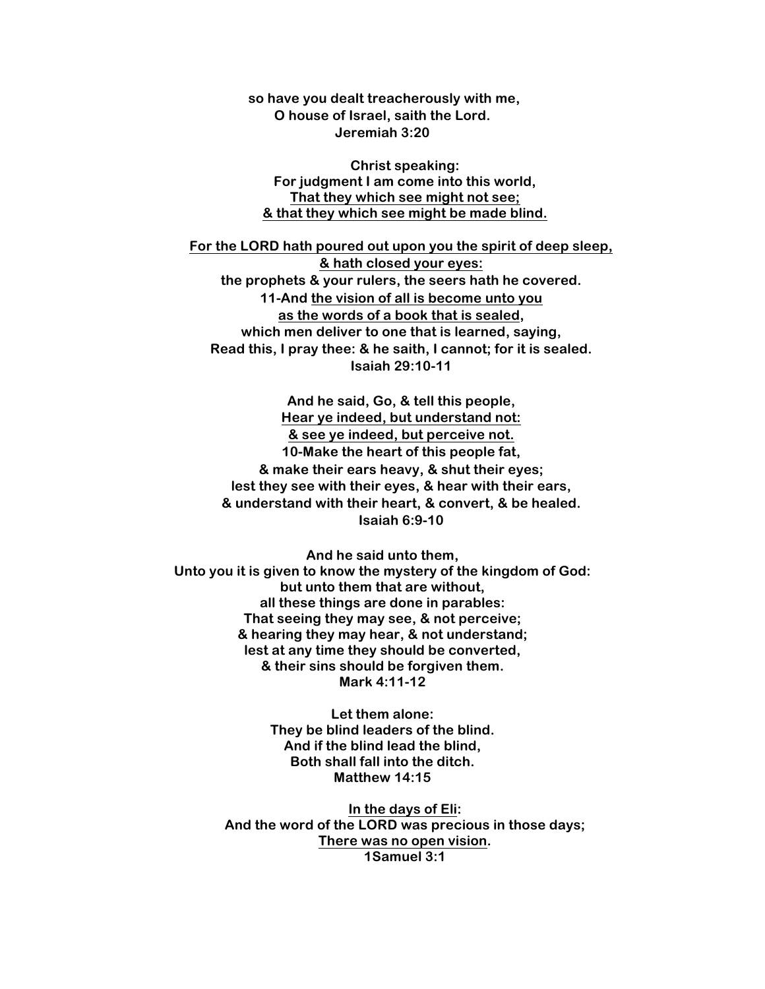**so have you dealt treacherously with me, O house of Israel, saith the Lord. Jeremiah 3:20**

**Christ speaking: For judgment I am come into this world, That they which see might not see; & that they which see might be made blind.**

**For the LORD hath poured out upon you the spirit of deep sleep, & hath closed your eyes: the prophets & your rulers, the seers hath he covered. 11-And the vision of all is become unto you as the words of a book that is sealed, which men deliver to one that is learned, saying, Read this, I pray thee: & he saith, I cannot; for it is sealed. Isaiah 29:10-11**

**And he said, Go, & tell this people, Hear ye indeed, but understand not: & see ye indeed, but perceive not. 10-Make the heart of this people fat, & make their ears heavy, & shut their eyes; lest they see with their eyes, & hear with their ears, & understand with their heart, & convert, & be healed. Isaiah 6:9-10**

**And he said unto them, Unto you it is given to know the mystery of the kingdom of God: but unto them that are without, all these things are done in parables: That seeing they may see, & not perceive; & hearing they may hear, & not understand; lest at any time they should be converted, & their sins should be forgiven them. Mark 4:11-12**

> **Let them alone: They be blind leaders of the blind. And if the blind lead the blind, Both shall fall into the ditch. Matthew 14:15**

**In the days of Eli: And the word of the LORD was precious in those days; There was no open vision. 1Samuel 3:1**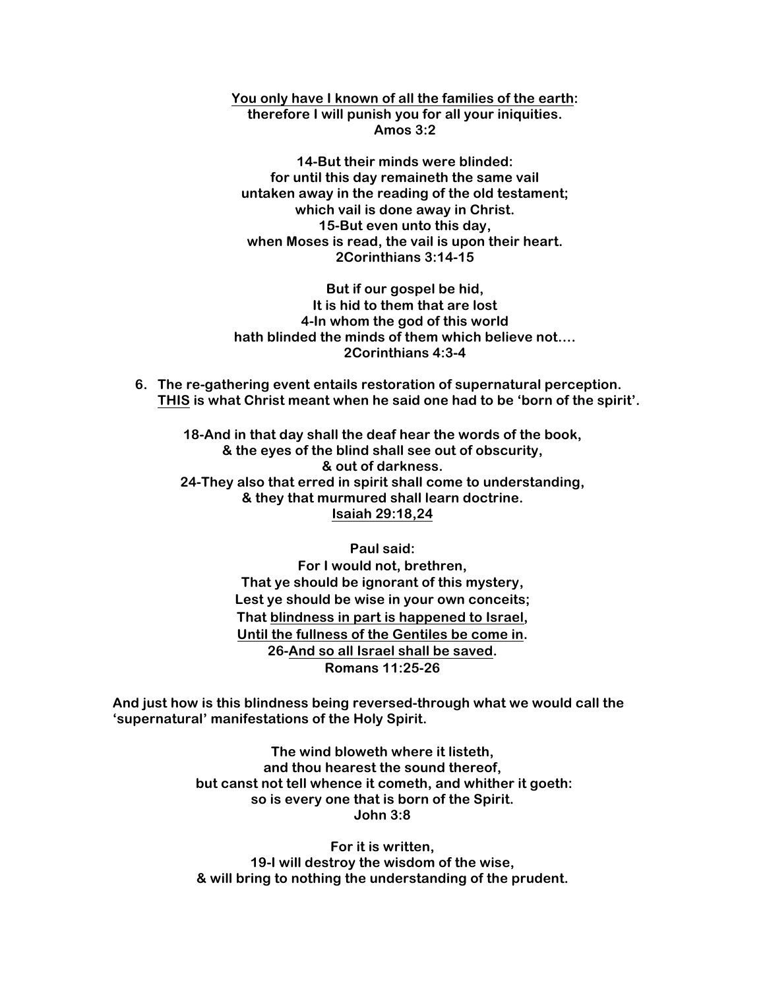**You only have I known of all the families of the earth: therefore I will punish you for all your iniquities. Amos 3:2**

**14-But their minds were blinded: for until this day remaineth the same vail untaken away in the reading of the old testament; which vail is done away in Christ. 15-But even unto this day, when Moses is read, the vail is upon their heart. 2Corinthians 3:14-15**

**But if our gospel be hid, It is hid to them that are lost 4-In whom the god of this world hath blinded the minds of them which believe not…. 2Corinthians 4:3-4**

**6. The re-gathering event entails restoration of supernatural perception. THIS is what Christ meant when he said one had to be 'born of the spirit'.**

**18-And in that day shall the deaf hear the words of the book, & the eyes of the blind shall see out of obscurity, & out of darkness. 24-They also that erred in spirit shall come to understanding, & they that murmured shall learn doctrine. Isaiah 29:18,24**

> **Paul said: For I would not, brethren, That ye should be ignorant of this mystery, Lest ye should be wise in your own conceits; That blindness in part is happened to Israel, Until the fullness of the Gentiles be come in. 26-And so all Israel shall be saved. Romans 11:25-26**

**And just how is this blindness being reversed-through what we would call the 'supernatural' manifestations of the Holy Spirit.**

> **The wind bloweth where it listeth, and thou hearest the sound thereof, but canst not tell whence it cometh, and whither it goeth: so is every one that is born of the Spirit. John 3:8**

**For it is written, 19-I will destroy the wisdom of the wise, & will bring to nothing the understanding of the prudent.**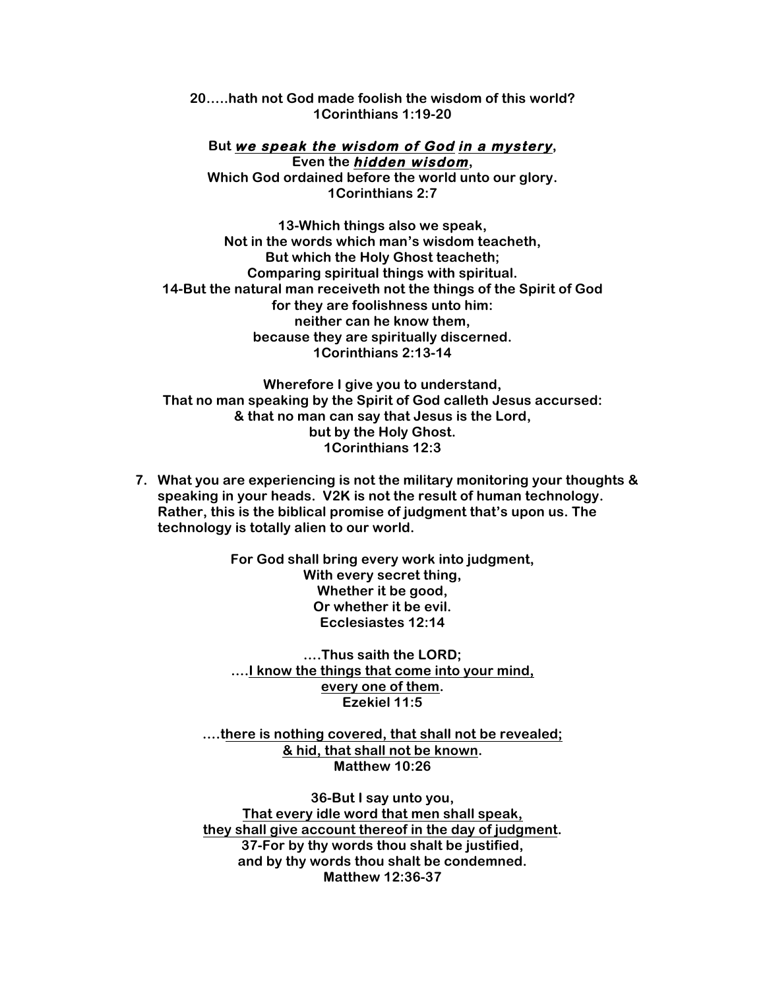**20…..hath not God made foolish the wisdom of this world? 1Corinthians 1:19-20**

**But we speak the wisdom of God in a mystery, Even the hidden wisdom,**

**Which God ordained before the world unto our glory. 1Corinthians 2:7**

**13-Which things also we speak, Not in the words which man's wisdom teacheth, But which the Holy Ghost teacheth; Comparing spiritual things with spiritual. 14-But the natural man receiveth not the things of the Spirit of God for they are foolishness unto him: neither can he know them, because they are spiritually discerned. 1Corinthians 2:13-14**

**Wherefore I give you to understand, That no man speaking by the Spirit of God calleth Jesus accursed: & that no man can say that Jesus is the Lord, but by the Holy Ghost. 1Corinthians 12:3**

**7. What you are experiencing is not the military monitoring your thoughts & speaking in your heads. V2K is not the result of human technology. Rather, this is the biblical promise of judgment that's upon us. The technology is totally alien to our world.** 

> **For God shall bring every work into judgment, With every secret thing, Whether it be good, Or whether it be evil. Ecclesiastes 12:14**

**….Thus saith the LORD; ….I know the things that come into your mind, every one of them. Ezekiel 11:5**

**….there is nothing covered, that shall not be revealed; & hid, that shall not be known. Matthew 10:26**

**36-But I say unto you, That every idle word that men shall speak, they shall give account thereof in the day of judgment. 37-For by thy words thou shalt be justified, and by thy words thou shalt be condemned. Matthew 12:36-37**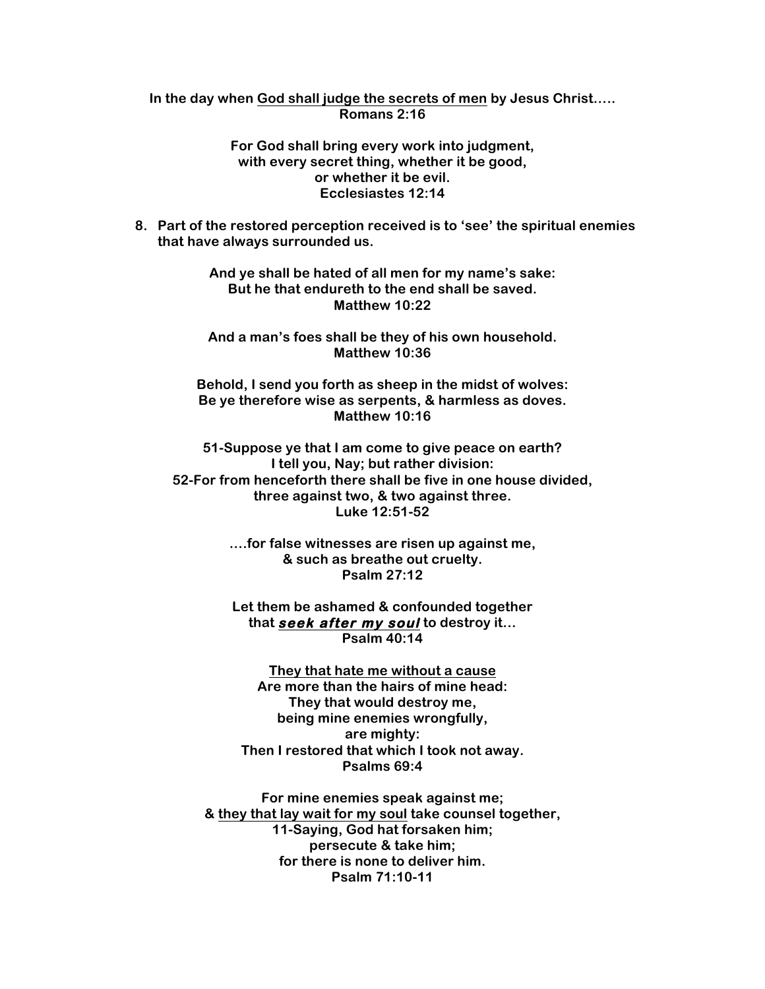## **In the day when God shall judge the secrets of men by Jesus Christ….. Romans 2:16**

## **For God shall bring every work into judgment, with every secret thing, whether it be good, or whether it be evil. Ecclesiastes 12:14**

**8. Part of the restored perception received is to 'see' the spiritual enemies that have always surrounded us.**

> **And ye shall be hated of all men for my name's sake: But he that endureth to the end shall be saved. Matthew 10:22**

> **And a man's foes shall be they of his own household. Matthew 10:36**

**Behold, I send you forth as sheep in the midst of wolves: Be ye therefore wise as serpents, & harmless as doves. Matthew 10:16**

**51-Suppose ye that I am come to give peace on earth? I tell you, Nay; but rather division: 52-For from henceforth there shall be five in one house divided, three against two, & two against three. Luke 12:51-52**

> **….for false witnesses are risen up against me, & such as breathe out cruelty. Psalm 27:12**

> **Let them be ashamed & confounded together that seek after my soul to destroy it… Psalm 40:14**

**They that hate me without a cause Are more than the hairs of mine head: They that would destroy me, being mine enemies wrongfully, are mighty: Then I restored that which I took not away. Psalms 69:4**

**For mine enemies speak against me; & they that lay wait for my soul take counsel together, 11-Saying, God hat forsaken him; persecute & take him; for there is none to deliver him. Psalm 71:10-11**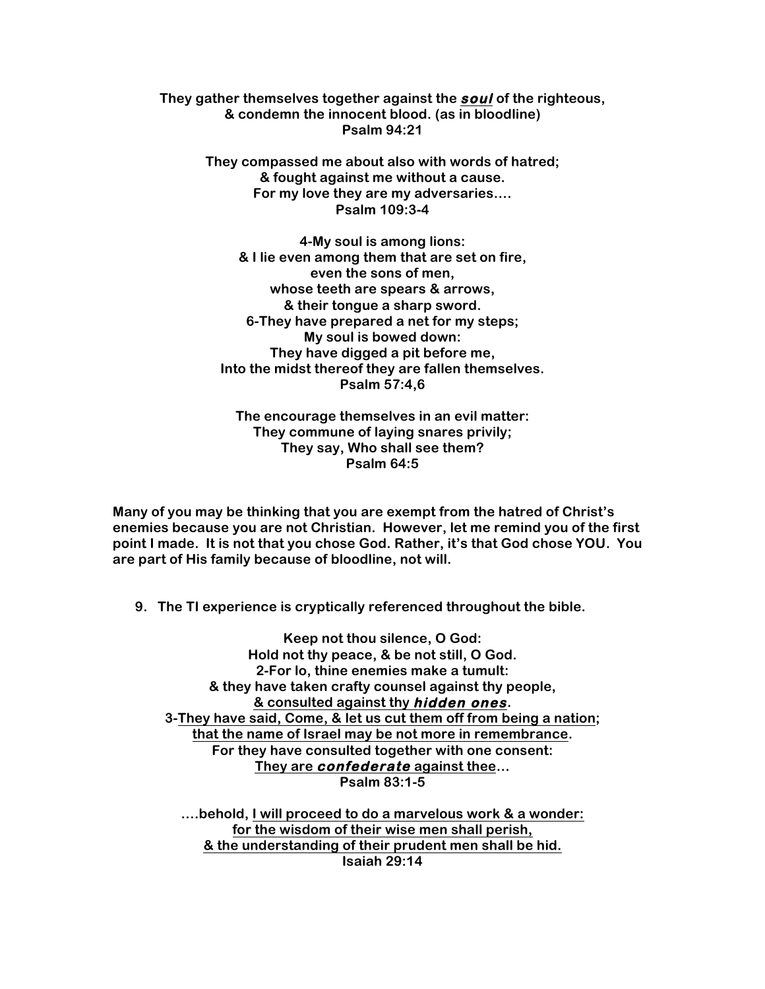**They gather themselves together against the soul of the righteous, & condemn the innocent blood. (as in bloodline) Psalm 94:21**

> **They compassed me about also with words of hatred; & fought against me without a cause. For my love they are my adversaries…. Psalm 109:3-4**

**4-My soul is among lions: & I lie even among them that are set on fire, even the sons of men, whose teeth are spears & arrows, & their tongue a sharp sword. 6-They have prepared a net for my steps; My soul is bowed down: They have digged a pit before me, Into the midst thereof they are fallen themselves. Psalm 57:4,6**

**The encourage themselves in an evil matter: They commune of laying snares privily; They say, Who shall see them? Psalm 64:5**

**Many of you may be thinking that you are exempt from the hatred of Christ's enemies because you are not Christian. However, let me remind you of the first point I made. It is not that you chose God. Rather, it's that God chose YOU. You are part of His family because of bloodline, not will.**

**9. The TI experience is cryptically referenced throughout the bible.**

**Keep not thou silence, O God: Hold not thy peace, & be not still, O God. 2-For lo, thine enemies make a tumult: & they have taken crafty counsel against thy people, & consulted against thy hidden ones. 3-They have said, Come, & let us cut them off from being a nation; that the name of Israel may be not more in remembrance. For they have consulted together with one consent: They are confederate against thee… Psalm 83:1-5**

**….behold, I will proceed to do a marvelous work & a wonder: for the wisdom of their wise men shall perish, & the understanding of their prudent men shall be hid. Isaiah 29:14**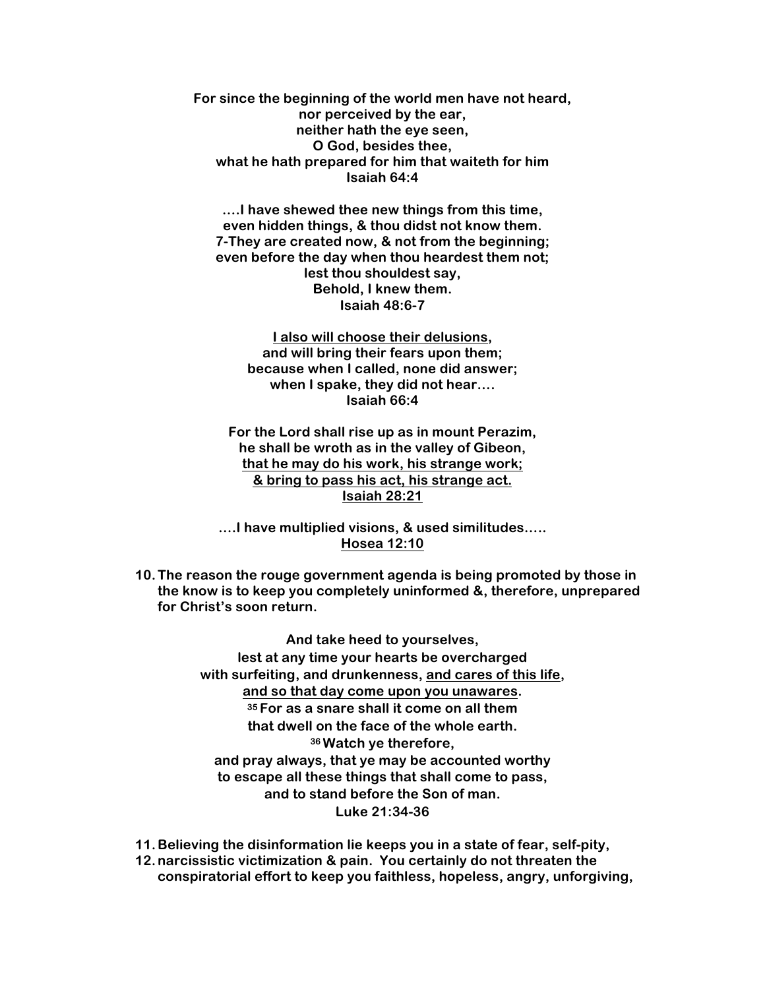**For since the beginning of the world men have not heard, nor perceived by the ear, neither hath the eye seen, O God, besides thee, what he hath prepared for him that waiteth for him Isaiah 64:4**

**….I have shewed thee new things from this time, even hidden things, & thou didst not know them. 7-They are created now, & not from the beginning; even before the day when thou heardest them not; lest thou shouldest say, Behold, I knew them. Isaiah 48:6-7**

> **I also will choose their delusions, and will bring their fears upon them; because when I called, none did answer; when I spake, they did not hear…. Isaiah 66:4**

**For the Lord shall rise up as in mount Perazim, he shall be wroth as in the valley of Gibeon, that he may do his work, his strange work; & bring to pass his act, his strange act. Isaiah 28:21**

**….I have multiplied visions, & used similitudes….. Hosea 12:10**

**10.The reason the rouge government agenda is being promoted by those in the know is to keep you completely uninformed &, therefore, unprepared for Christ's soon return.**

> **And take heed to yourselves, lest at any time your hearts be overcharged with surfeiting, and drunkenness, and cares of this life, and so that day come upon you unawares. <sup>35</sup> For as a snare shall it come on all them that dwell on the face of the whole earth. <sup>36</sup> Watch ye therefore, and pray always, that ye may be accounted worthy to escape all these things that shall come to pass, and to stand before the Son of man. Luke 21:34-36**

**11.Believing the disinformation lie keeps you in a state of fear, self-pity,** 

**12.narcissistic victimization & pain. You certainly do not threaten the conspiratorial effort to keep you faithless, hopeless, angry, unforgiving,**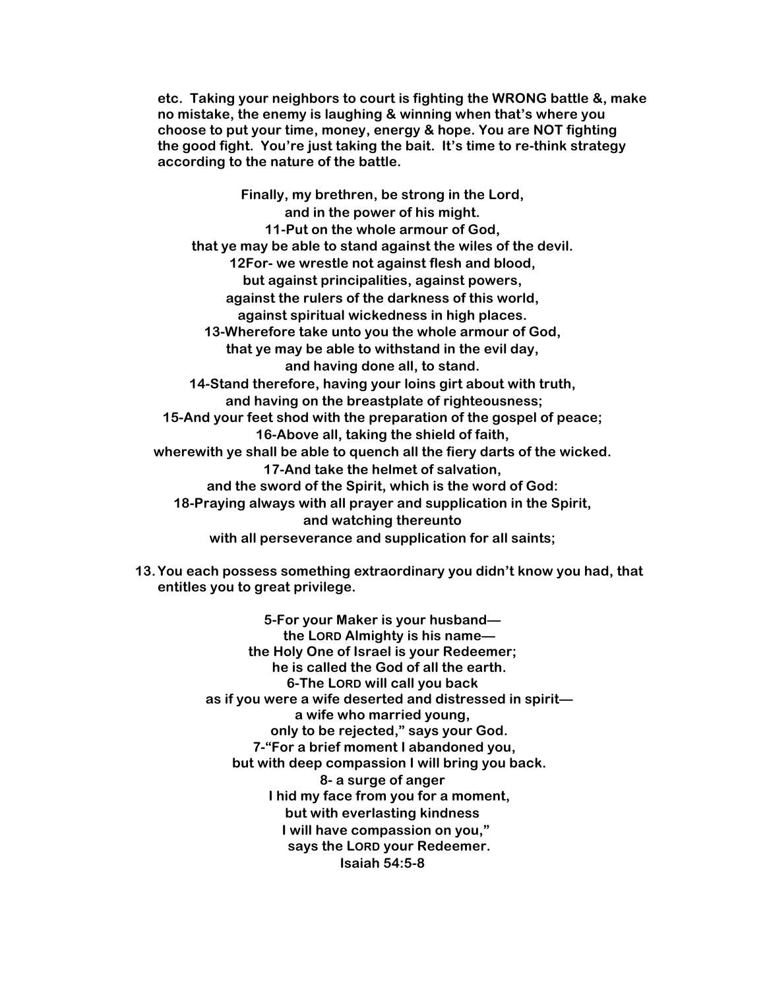**etc. Taking your neighbors to court is fighting the WRONG battle &, make no mistake, the enemy is laughing & winning when that's where you choose to put your time, money, energy & hope. You are NOT fighting the good fight. You're just taking the bait. It's time to re-think strategy according to the nature of the battle.**

**Finally, my brethren, be strong in the Lord, and in the power of his might. 11-Put on the whole armour of God, that ye may be able to stand against the wiles of the devil. 12For- we wrestle not against flesh and blood, but against principalities, against powers, against the rulers of the darkness of this world, against spiritual wickedness in high places. 13-Wherefore take unto you the whole armour of God, that ye may be able to withstand in the evil day, and having done all, to stand. 14-Stand therefore, having your loins girt about with truth, and having on the breastplate of righteousness; 15-And your feet shod with the preparation of the gospel of peace; 16-Above all, taking the shield of faith, wherewith ye shall be able to quench all the fiery darts of the wicked. 17-And take the helmet of salvation, and the sword of the Spirit, which is the word of God: 18-Praying always with all prayer and supplication in the Spirit, and watching thereunto with all perseverance and supplication for all saints;**

**13.You each possess something extraordinary you didn't know you had, that entitles you to great privilege.**

> **5-For your Maker is your husband the LORD Almighty is his name the Holy One of Israel is your Redeemer; he is called the God of all the earth. 6-The LORD will call you back as if you were a wife deserted and distressed in spirit a wife who married young, only to be rejected," says your God. 7-"For a brief moment I abandoned you, but with deep compassion I will bring you back. 8- a surge of anger I hid my face from you for a moment, but with everlasting kindness I will have compassion on you," says the LORD your Redeemer. Isaiah 54:5-8**